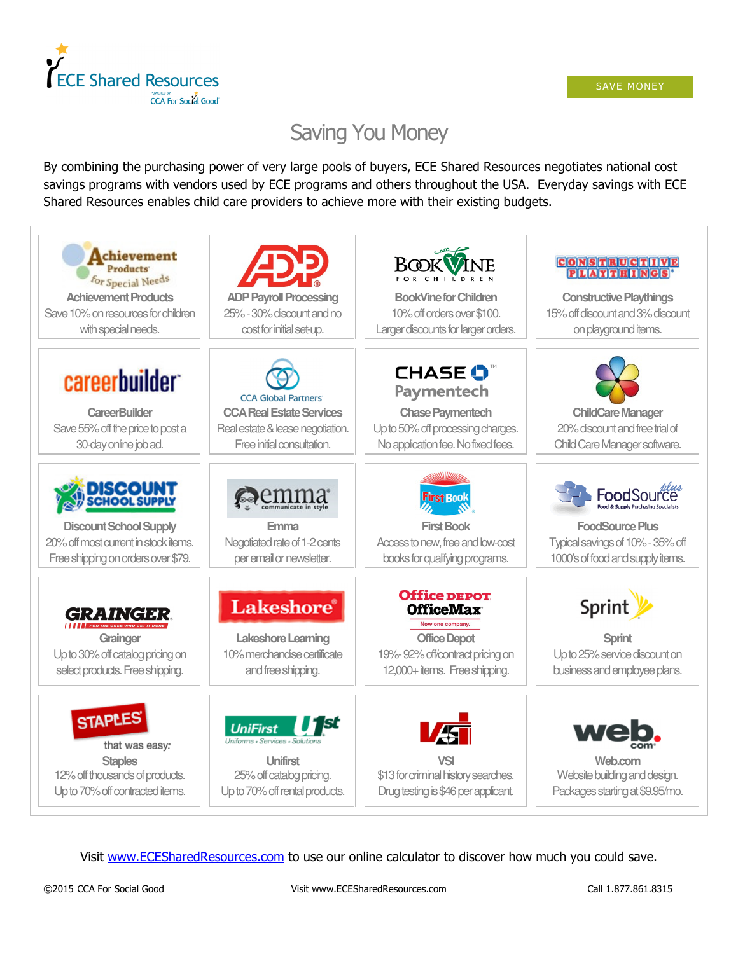

# Saving You Money

By combining the purchasing power of very large pools of buyers, ECE Shared Resources negotiates national cost savings programs with vendors used by ECE programs and others throughout the USA. Everyday savings with ECE Shared Resources enables child care providers to achieve more with their existing budgets.



Visit www.ECESharedResources.com to use our online calculator to discover how much you could save.